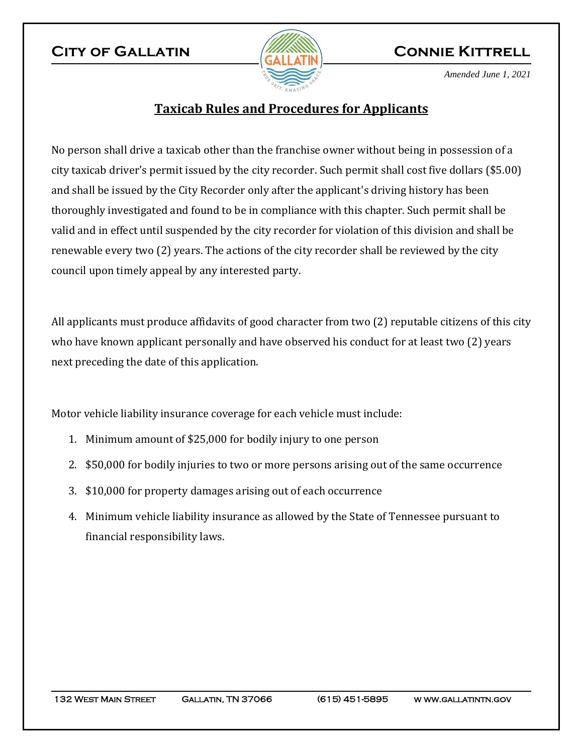## **CITY OF GALLATIN CONNIE KITTRELL**



*Amended June 1, 2021* 

### **Taxicab Rules and Procedures for Applicants**

No person shall drive a taxicab other than the franchise owner without being in possession of a city taxicab driver's permit issued by the city recorder. Such permit shall cost five dollars (\$5.00) and shall be issued by the City Recorder only after the applicant's driving history has been thoroughly investigated and found to be in compliance with this chapter. Such permit shall be valid and in effect until suspended by the city recorder for violation of this division and shall be renewable every two (2) years. The actions of the city recorder shall be reviewed by the city council upon timely appeal by any interested party.

All applicants must produce affidavits of good character from two (2) reputable citizens of this city who have known applicant personally and have observed his conduct for at least two (2) years next preceding the date of this application.

Motor vehicle liability insurance coverage for each vehicle must include:

- 1. Minimum amount of \$25,000 for bodily injury to one person
- 2. \$50,000 for bodily injuries to two or more persons arising out of the same occurrence
- 3. \$10,000 for property damages arising out of each occurrence
- 4. Minimum vehicle liability insurance as allowed by the State of Tennessee pursuant to financial responsibility laws.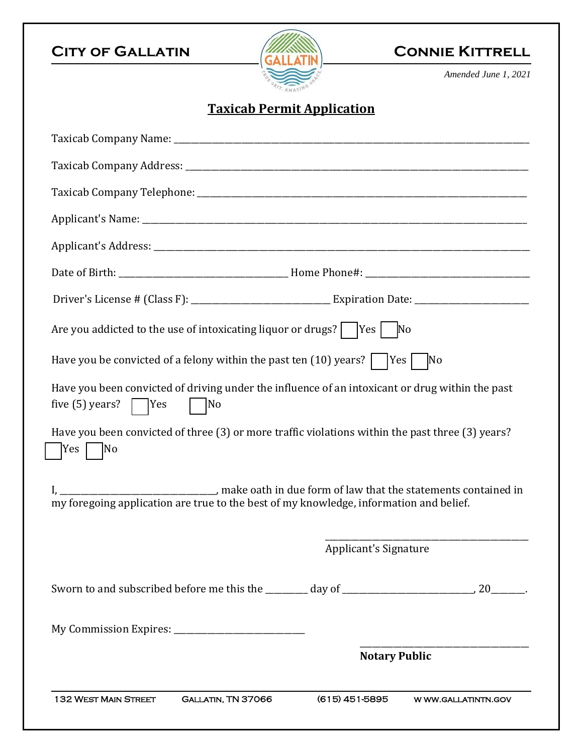# **CITY OF GALLATIN CONNIE KITTRELL**



*Amended June 1, 2021*

## **Taxicab Permit Application**

| Are you addicted to the use of intoxicating liquor or drugs? $\vert$  Yes    No                                                           |  |  |  |  |
|-------------------------------------------------------------------------------------------------------------------------------------------|--|--|--|--|
| Have you be convicted of a felony within the past ten $(10)$ years? $\vert \quad  Yes  \quad  No$                                         |  |  |  |  |
| Have you been convicted of driving under the influence of an intoxicant or drug within the past<br>five $(5)$ years?    Yes<br>$\vert$ No |  |  |  |  |
| Have you been convicted of three (3) or more traffic violations within the past three (3) years?<br>N <sub>0</sub><br>Yes                 |  |  |  |  |
| my foregoing application are true to the best of my knowledge, information and belief.                                                    |  |  |  |  |
| Applicant's Signature                                                                                                                     |  |  |  |  |
|                                                                                                                                           |  |  |  |  |
|                                                                                                                                           |  |  |  |  |
|                                                                                                                                           |  |  |  |  |
| <b>Notary Public</b>                                                                                                                      |  |  |  |  |
| GALLATIN, TN 37066<br>(615) 451-5895<br><b>132 WEST MAIN STREET</b><br>W WW.GALLATINTN.GOV                                                |  |  |  |  |